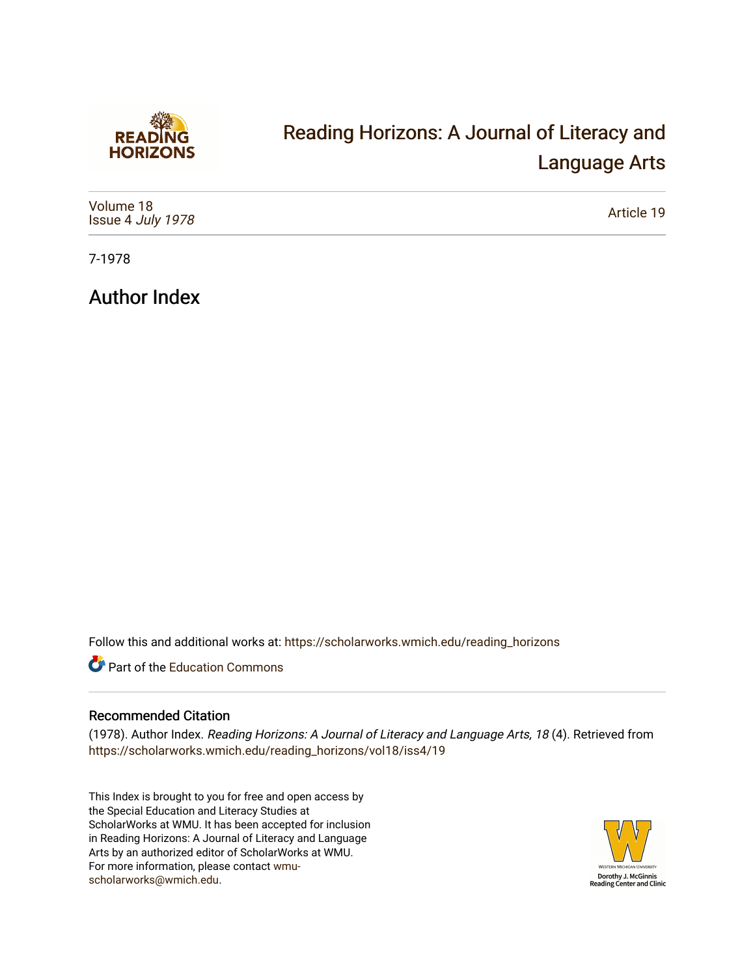

## [Reading Horizons: A Journal of Literacy and](https://scholarworks.wmich.edu/reading_horizons)  [Language Arts](https://scholarworks.wmich.edu/reading_horizons)

| Volume 18<br>Issue 4 July 1978 | Article 19 |
|--------------------------------|------------|
|--------------------------------|------------|

7-1978

Author Index

Follow this and additional works at: [https://scholarworks.wmich.edu/reading\\_horizons](https://scholarworks.wmich.edu/reading_horizons?utm_source=scholarworks.wmich.edu%2Freading_horizons%2Fvol18%2Fiss4%2F19&utm_medium=PDF&utm_campaign=PDFCoverPages)

Part of the [Education Commons](http://network.bepress.com/hgg/discipline/784?utm_source=scholarworks.wmich.edu%2Freading_horizons%2Fvol18%2Fiss4%2F19&utm_medium=PDF&utm_campaign=PDFCoverPages)

## Recommended Citation

(1978). Author Index. Reading Horizons: A Journal of Literacy and Language Arts, 18 (4). Retrieved from [https://scholarworks.wmich.edu/reading\\_horizons/vol18/iss4/19](https://scholarworks.wmich.edu/reading_horizons/vol18/iss4/19?utm_source=scholarworks.wmich.edu%2Freading_horizons%2Fvol18%2Fiss4%2F19&utm_medium=PDF&utm_campaign=PDFCoverPages) 

This Index is brought to you for free and open access by the Special Education and Literacy Studies at ScholarWorks at WMU. It has been accepted for inclusion in Reading Horizons: A Journal of Literacy and Language Arts by an authorized editor of ScholarWorks at WMU. For more information, please contact [wmu](mailto:wmu-scholarworks@wmich.edu)[scholarworks@wmich.edu.](mailto:wmu-scholarworks@wmich.edu)